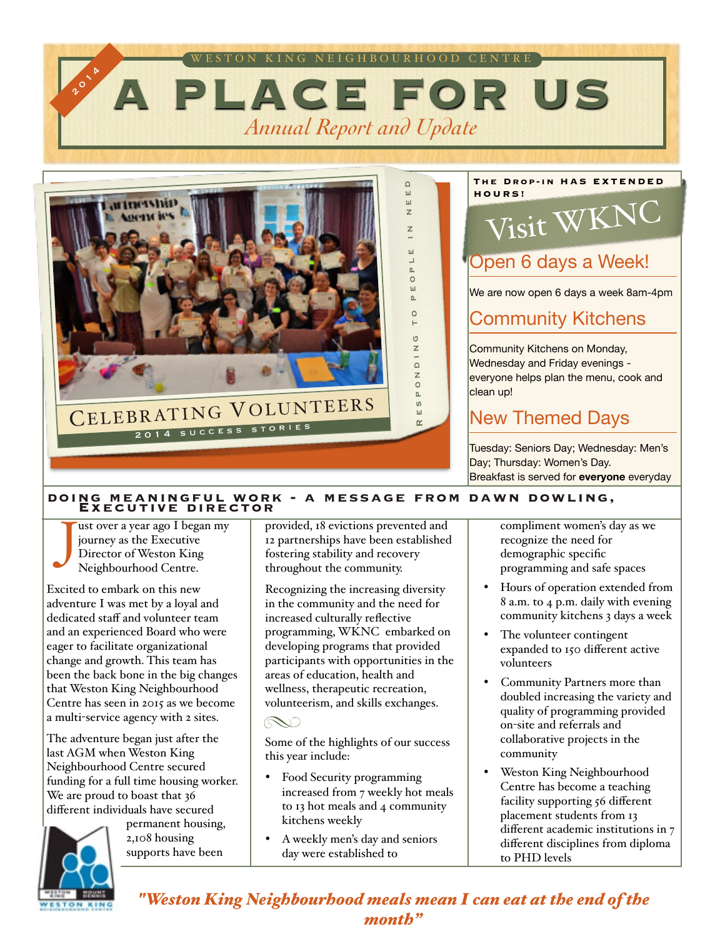



#### **The Drop-in HAS EXTENDED HOURS!** Visit WKNC

### Open 6 days a Week!

We are now open 6 days a week 8am-4pm

#### Community Kitchens

Community Kitchens on Monday, Wednesday and Friday evenings everyone helps plan the menu, cook and clean up!

#### New Themed Days

Tuesday: Seniors Day; Wednesday: Men's Day; Thursday: Women's Day. Breakfast is served for **everyone** everyday

#### **doing meaningful work - a message from dawn dowling, Executive director**

ust over a year ago I began my journey as the Executive Director of Weston King Neighbourhood Centre. J

Excited to embark on this new adventure I was met by a loyal and dedicated staff and volunteer team and an experienced Board who were eager to facilitate organizational change and growth. This team has been the back bone in the big changes that Weston King Neighbourhood Centre has seen in 2015 as we become a multi-service agency with 2 sites.

The adventure began just after the last AGM when Weston King Neighbourhood Centre secured funding for a full time housing worker. We are proud to boast that 36 different individuals have secured



permanent housing, 2,108 housing supports have been

provided, 18 evictions prevented and 12 partnerships have been established fostering stability and recovery throughout the community.

Recognizing the increasing diversity in the community and the need for increased culturally reflective programming, WKNC embarked on developing programs that provided participants with opportunities in the areas of education, health and wellness, therapeutic recreation, volunteerism, and skills exchanges.

RV)

Some of the highlights of our success this year include:

- Food Security programming increased from 7 weekly hot meals to 13 hot meals and 4 community kitchens weekly
- A weekly men's day and seniors day were established to

compliment women's day as we recognize the need for demographic specific programming and safe spaces

- Hours of operation extended from 8 a.m. to 4 p.m. daily with evening community kitchens 3 days a week
- The volunteer contingent expanded to 150 different active volunteers
- Community Partners more than doubled increasing the variety and quality of programming provided on-site and referrals and collaborative projects in the community
- Weston King Neighbourhood Centre has become a teaching facility supporting 56 different placement students from 13 different academic institutions in 7 different disciplines from diploma to PHD levels

#### *"Weston King Neighbourhood meals mean I can eat at the end of the month"*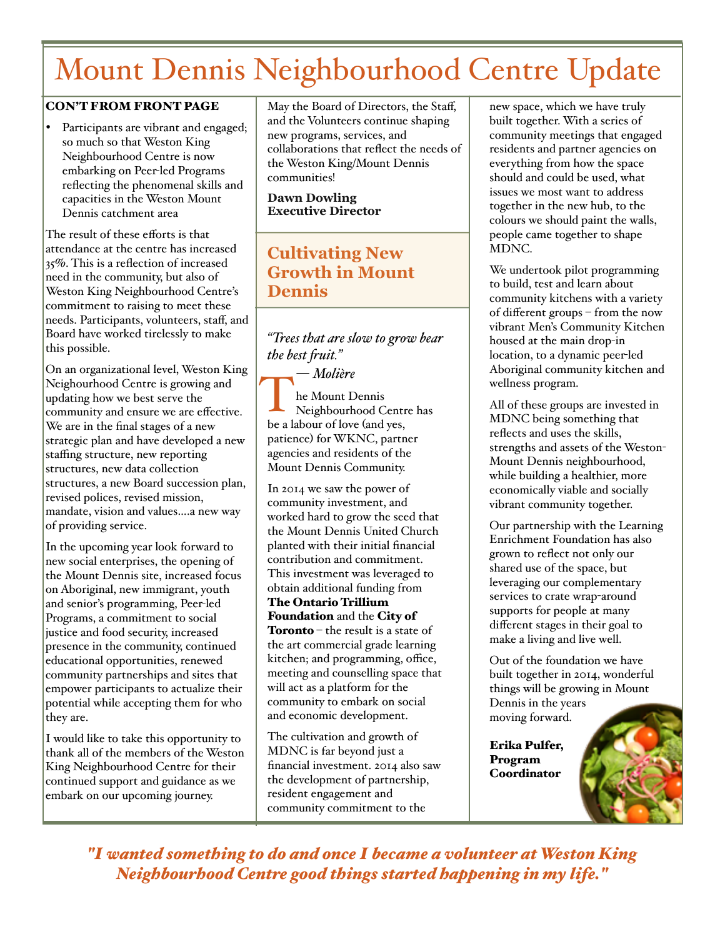# Mount Dennis Neighbourhood Centre Update

#### CON'T FROM FRONT PAGE

Participants are vibrant and engaged; so much so that Weston King Neighbourhood Centre is now embarking on Peer-led Programs reflecting the phenomenal skills and capacities in the Weston Mount Dennis catchment area

The result of these efforts is that attendance at the centre has increased 35%. This is a reflection of increased need in the community, but also of Weston King Neighbourhood Centre's commitment to raising to meet these needs. Participants, volunteers, staff, and Board have worked tirelessly to make this possible.

On an organizational level, Weston King Neighourhood Centre is growing and updating how we best serve the community and ensure we are effective. We are in the final stages of a new strategic plan and have developed a new staffing structure, new reporting structures, new data collection structures, a new Board succession plan, revised polices, revised mission, mandate, vision and values….a new way of providing service.

In the upcoming year look forward to new social enterprises, the opening of the Mount Dennis site, increased focus on Aboriginal, new immigrant, youth and senior's programming, Peer-led Programs, a commitment to social justice and food security, increased presence in the community, continued educational opportunities, renewed community partnerships and sites that empower participants to actualize their potential while accepting them for who they are.

I would like to take this opportunity to thank all of the members of the Weston King Neighbourhood Centre for their continued support and guidance as we embark on our upcoming journey.

May the Board of Directors, the Staff, and the Volunteers continue shaping new programs, services, and collaborations that reflect the needs of the Weston King/Mount Dennis communities!

**Dawn Dowling Executive Director** 

#### **Cultivating New Growth in Mount Dennis**

*"Trees that are slow to grow bear the best fuit."* 

― *[Molière](http://www.goodreads.com/author/show/29837.Moli_re)* he Mount Dennis Neighbourhood Centre has THE MOUNT DENNIS<br>
Neighbourhood Centr<br>
be a labour of love (and yes, patience) for WKNC, partner agencies and residents of the Mount Dennis Community.

In 2014 we saw the power of community investment, and worked hard to grow the seed that the Mount Dennis United Church planted with their initial financial contribution and commitment. This investment was leveraged to obtain additional funding from The Ontario Trillium

Foundation and the City of **Toronto** – the result is a state of the art commercial grade learning kitchen; and programming, office, meeting and counselling space that will act as a platform for the community to embark on social and economic development.

The cultivation and growth of MDNC is far beyond just a financial investment. 2014 also saw the development of partnership, resident engagement and community commitment to the

new space, which we have truly built together. With a series of community meetings that engaged residents and partner agencies on everything from how the space should and could be used, what issues we most want to address together in the new hub, to the colours we should paint the walls, people came together to shape MDNC.

We undertook pilot programming to build, test and learn about community kitchens with a variety of different groups – from the now vibrant Men's Community Kitchen housed at the main drop-in location, to a dynamic peer-led Aboriginal community kitchen and wellness program.

All of these groups are invested in MDNC being something that reflects and uses the skills, strengths and assets of the Weston-Mount Dennis neighbourhood, while building a healthier, more economically viable and socially vibrant community together.

Our partnership with the Learning Enrichment Foundation has also grown to reflect not only our shared use of the space, but leveraging our complementary services to crate wrap-around supports for people at many different stages in their goal to make a living and live well.

Out of the foundation we have built together in 2014, wonderful things will be growing in Mount Dennis in the years moving forward.

Erika Pulfer, Program **Coordinator** 

*"I wanted something to do and once I became a volunteer at Weston King Neighbourhood Centre good things started happening in my life."*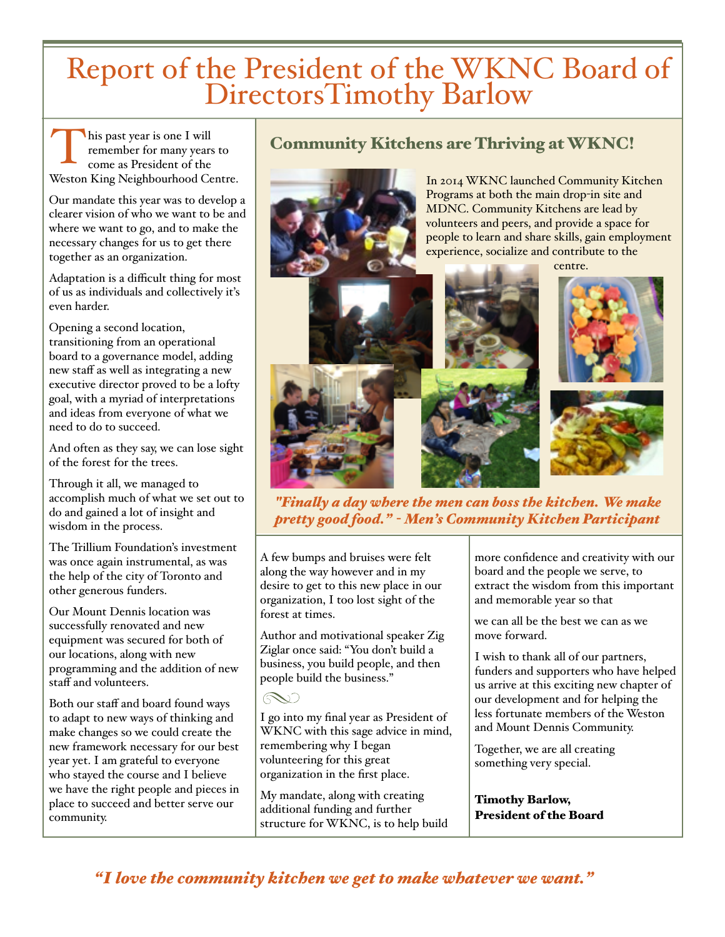# Report of the President of the WKNC Board of DirectorsTimothy Barlow

his past year is one I will remember for many years to come as President of the Weston King Neighbourhood Centre. T

Our mandate this year was to develop a clearer vision of who we want to be and where we want to go, and to make the necessary changes for us to get there together as an organization.

Adaptation is a difficult thing for most of us as individuals and collectively it's even harder.

Opening a second location, transitioning from an operational board to a governance model, adding new staff as well as integrating a new executive director proved to be a lofty goal, with a myriad of interpretations and ideas from everyone of what we need to do to succeed.

And often as they say, we can lose sight of the forest for the trees.

Through it all, we managed to accomplish much of what we set out to do and gained a lot of insight and wisdom in the process.

The Trillium Foundation's investment was once again instrumental, as was the help of the city of Toronto and other generous funders.

Our Mount Dennis location was successfully renovated and new equipment was secured for both of our locations, along with new programming and the addition of new staff and volunteers.

Both our staff and board found ways to adapt to new ways of thinking and make changes so we could create the new framework necessary for our best year yet. I am grateful to everyone who stayed the course and I believe we have the right people and pieces in place to succeed and better serve our community.

#### Community Kitchens are Thriving at WKNC!



*"Finaly a day where the men can boss the kitchen. We make pretty good food." - Men's Community Kitchen Participant*

A few bumps and bruises were felt along the way however and in my desire to get to this new place in our organization, I too lost sight of the forest at times.

Author and motivational speaker Zig Ziglar once said: "You don't build a business, you build people, and then people build the business."

I go into my final year as President of WKNC with this sage advice in mind, remembering why I began volunteering for this great organization in the first place.

My mandate, along with creating additional funding and further structure for WKNC, is to help build more confidence and creativity with our board and the people we serve, to extract the wisdom from this important and memorable year so that

we can all be the best we can as we move forward.

I wish to thank all of our partners, funders and supporters who have helped us arrive at this exciting new chapter of our development and for helping the less fortunate members of the Weston and Mount Dennis Community.

Together, we are all creating something very special.

Timothy Barlow, President of the Board